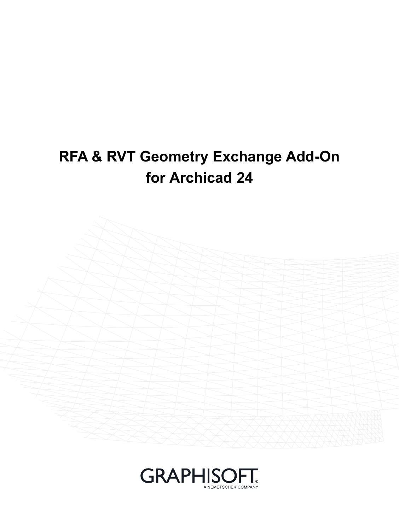# **RFA & RVT Geometry Exchange Add-On for Archicad 24**



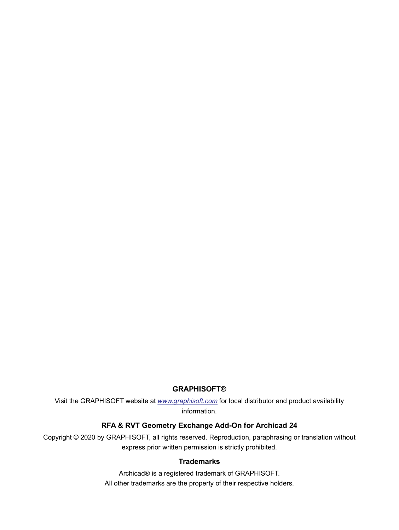#### **GRAPHISOFT®**

Visit the GRAPHISOFT website at *[www.graphisoft.com](https://www.graphisoft.com)* for local distributor and product availability information.

#### **RFA & RVT Geometry Exchange Add-On for Archicad 24**

Copyright © 2020 by GRAPHISOFT, all rights reserved. Reproduction, paraphrasing or translation without express prior written permission is strictly prohibited.

#### **Trademarks**

Archicad® is a registered trademark of GRAPHISOFT. All other trademarks are the property of their respective holders.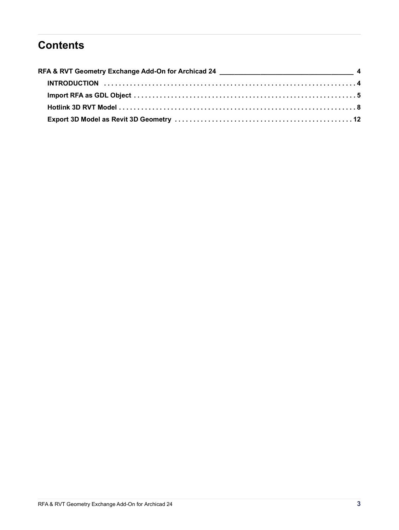# **Contents**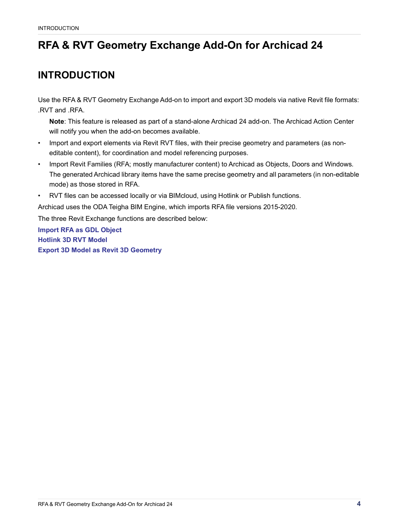# <span id="page-3-0"></span>**RFA & RVT Geometry Exchange Add-On for Archicad 24**

# <span id="page-3-1"></span>**INTRODUCTION**

Use the RFA & RVT Geometry Exchange Add-on to import and export 3D models via native Revit file formats: .RVT and .RFA.

**Note**: This feature is released as part of a stand-alone Archicad 24 add-on. The Archicad Action Center will notify you when the add-on becomes available.

- Import and export elements via Revit RVT files, with their precise geometry and parameters (as noneditable content), for coordination and model referencing purposes.
- Import Revit Families (RFA; mostly manufacturer content) to Archicad as Objects, Doors and Windows. The generated Archicad library items have the same precise geometry and all parameters (in non-editable mode) as those stored in RFA.
- RVT files can be accessed locally or via BIMcloud, using Hotlink or Publish functions.

Archicad uses the ODA Teigha BIM Engine, which imports RFA file versions 2015-2020.

The three Revit Exchange functions are described below:

**[Import RFA as GDL Object](#page-4-0) [Hotlink 3D RVT Model](#page-7-0) [Export 3D Model as Revit 3D Geometry](#page-11-0)**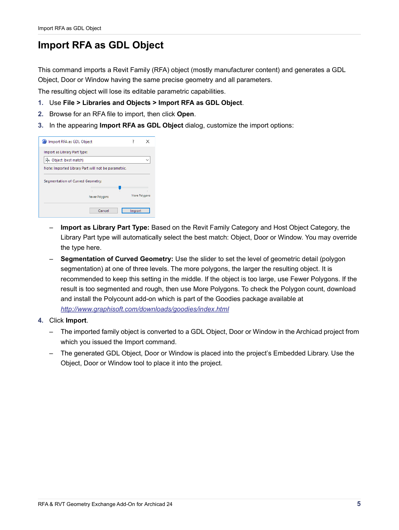### <span id="page-4-0"></span>**Import RFA as GDL Object**

This command imports a Revit Family (RFA) object (mostly manufacturer content) and generates a GDL Object, Door or Window having the same precise geometry and all parameters.

The resulting object will lose its editable parametric capabilities.

- **1.** Use **File > Libraries and Objects > Import RFA as GDL Object**.
- **2.** Browse for an RFA file to import, then click **Open**.
- **3.** In the appearing **Import RFA as GDL Object** dialog, customize the import options:

| Import RFA as GDL Object                            |                |  | ×             |  |  |  |
|-----------------------------------------------------|----------------|--|---------------|--|--|--|
| Import as Library Part Type:                        |                |  |               |  |  |  |
| Object (best match)                                 |                |  |               |  |  |  |
| Note: Imported Library Part will not be parametric. |                |  |               |  |  |  |
| Segmentation of Curved Geometry:                    |                |  |               |  |  |  |
|                                                     | Fewer Polygons |  | More Polygons |  |  |  |
|                                                     |                |  |               |  |  |  |

- **Import as Library Part Type:** Based on the Revit Family Category and Host Object Category, the Library Part type will automatically select the best match: Object, Door or Window. You may override the type here.
- **Segmentation of Curved Geometry:** Use the slider to set the level of geometric detail (polygon segmentation) at one of three levels. The more polygons, the larger the resulting object. It is recommended to keep this setting in the middle. If the object is too large, use Fewer Polygons. If the result is too segmented and rough, then use More Polygons. To check the Polygon count, download and install the Polycount add-on which is part of the Goodies package available at *<http://www.graphisoft.com/downloads/goodies/index.html>*
- **4.** Click **Import**.
	- The imported family object is converted to a GDL Object, Door or Window in the Archicad project from which you issued the Import command.
	- The generated GDL Object, Door or Window is placed into the project's Embedded Library. Use the Object, Door or Window tool to place it into the project.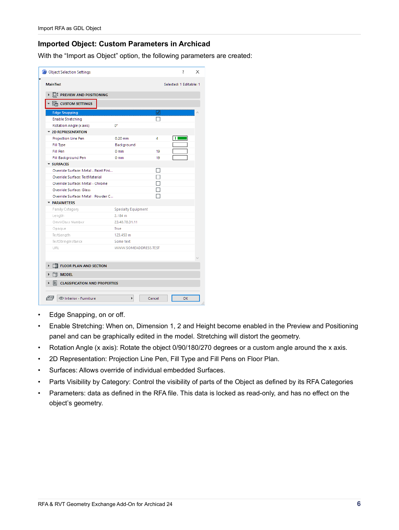#### **Imported Object: Custom Parameters in Archicad**

With the "Import as Object" option, the following parameters are created:

| Object Selection Settings                  |                            |    | ? | × |
|--------------------------------------------|----------------------------|----|---|---|
| <b>MainTest</b><br>Selected: 1 Editable: 1 |                            |    |   |   |
| <b>LET PREVIEW AND POSITIONING</b>         |                            |    |   |   |
| $\frac{1}{2}$ CUSTOM SETTINGS              |                            |    |   |   |
| <b>Edge Snapping</b>                       |                            | √  |   |   |
| <b>Enable Stretching</b>                   |                            |    |   |   |
| Rotation Angle (x axis)                    | œ                          |    |   |   |
| <b>T 2D REPRESENTATION</b>                 |                            |    |   |   |
| Projection Line Pen                        | $0.20$ mm                  | 4  |   |   |
| Fill Type                                  | Background                 |    |   |   |
| <b>Fill Pen</b>                            | 0 <sub>mm</sub>            | 19 |   |   |
| Fill Background Pen                        | 0 <sub>mm</sub>            | 19 |   |   |
| <b>SURFACES</b>                            |                            |    |   |   |
| Override Surface: Metal - Paint Fini       |                            | П  |   |   |
| <b>Override Surface: TestMaterial</b>      |                            | П  |   |   |
| Override Surface: Metal - Chrome           |                            | П  |   |   |
| <b>Override Surface: Glass</b>             |                            | □  |   |   |
| Override Surface: Metal - Powder C         |                            |    |   |   |
| <b>TRAMETERS</b>                           |                            |    |   |   |
| Family Category                            | <b>Specialty Equipment</b> |    |   |   |
| Length                                     | 2.184 m                    |    |   |   |
| OmniClass Number                           | 23.40.70.31.11             |    |   |   |
| Opaque                                     | True                       |    |   |   |
| TestLength                                 | 123.450 m                  |    |   |   |
| TestStringInstance                         | Some text                  |    |   |   |
| <b>URL</b>                                 | WWW.SOMEADDRESS.TEST       |    |   |   |
|                                            |                            |    |   |   |
|                                            |                            |    |   |   |
| <b>2</b> FLOOR PLAN AND SECTION            |                            |    |   |   |
| <b>MODEL</b>                               |                            |    |   |   |
| <b>CLASSIFICATION AND PROPERTIES</b>       |                            |    |   |   |
|                                            |                            |    |   |   |

- Edge Snapping, on or off.
- Enable Stretching: When on, Dimension 1, 2 and Height become enabled in the Preview and Positioning panel and can be graphically edited in the model. Stretching will distort the geometry.
- Rotation Angle (x axis): Rotate the object 0/90/180/270 degrees or a custom angle around the x axis.
- 2D Representation: Projection Line Pen, Fill Type and Fill Pens on Floor Plan.
- Surfaces: Allows override of individual embedded Surfaces.
- Parts Visibility by Category: Control the visibility of parts of the Object as defined by its RFA Categories
- Parameters: data as defined in the RFA file. This data is locked as read-only, and has no effect on the object's geometry.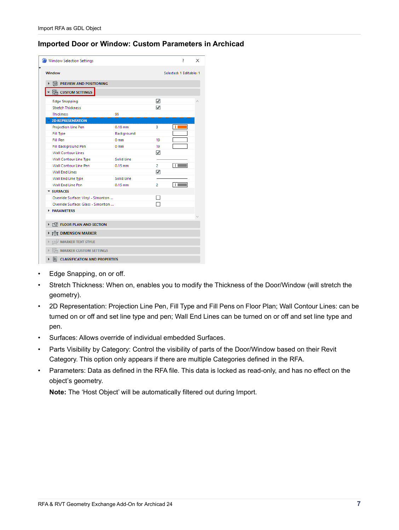#### **Imported Door or Window: Custom Parameters in Archicad**

| Window Selection Settings                 |                 |                | ?                       | × |
|-------------------------------------------|-----------------|----------------|-------------------------|---|
| <b>Window</b>                             |                 |                | Selected: 1 Editable: 1 |   |
| 同 PREVIEW AND POSITIONING                 |                 |                |                         |   |
| <b>SEE CUSTOM SETTINGS</b>                |                 |                |                         |   |
| <b>Edge Snapping</b>                      |                 | $\checkmark$   |                         |   |
| <b>Stretch Thickness</b>                  |                 | √              |                         |   |
| <b>Thickness</b>                          | 99              |                |                         |   |
| <b>2D REPRESENTATION</b>                  |                 |                |                         |   |
| Projection Line Pen                       | $0.18$ mm       | 3              |                         |   |
| Fill Type                                 | Background      |                |                         |   |
| Fill Pen                                  | 0 <sub>mm</sub> | 19             |                         |   |
| Fill Background Pen                       | 0 <sub>mm</sub> | 19             |                         |   |
| <b>Wall Contour Lines</b>                 |                 | ⊽              |                         |   |
| Wall Contour Line Type                    | Solid Line      |                |                         |   |
| Wall Contour Line Pen                     | $0.15$ mm       | 2.             |                         |   |
| <b>Wall End Lines</b>                     |                 | √              |                         |   |
| Wall End Line Type                        | Solid Line      |                |                         |   |
| Wall End Line Pen                         | $0.15$ mm       | $\overline{2}$ |                         |   |
| <b>SURFACES</b>                           |                 |                |                         |   |
| Override Surface: Vinyl - Simonton        |                 |                |                         |   |
| Override Surface: Glass - Simonton        |                 |                |                         |   |
| <b>PARAMETERS</b>                         |                 |                |                         |   |
|                                           |                 |                |                         |   |
| <b>FILE FLOOR PLAN AND SECTION</b>        |                 |                |                         |   |
| <b>Fig. DIMENSION MARKER</b>              |                 |                |                         |   |
| <b>TZV MARKER TEXT STYLE</b>              |                 |                |                         |   |
| <b>MARKER CUSTOM SETTINGS</b>             |                 |                |                         |   |
| <b>CLASSIFICATION AND PROPERTIES</b><br>E |                 |                |                         |   |

- Edge Snapping, on or off.
- Stretch Thickness: When on, enables you to modify the Thickness of the Door/Window (will stretch the geometry).
- 2D Representation: Projection Line Pen, Fill Type and Fill Pens on Floor Plan; Wall Contour Lines: can be turned on or off and set line type and pen; Wall End Lines can be turned on or off and set line type and pen.
- Surfaces: Allows override of individual embedded Surfaces.
- Parts Visibility by Category: Control the visibility of parts of the Door/Window based on their Revit Category. This option only appears if there are multiple Categories defined in the RFA.
- Parameters: Data as defined in the RFA file. This data is locked as read-only, and has no effect on the object's geometry.

**Note:** The 'Host Object' will be automatically filtered out during Import.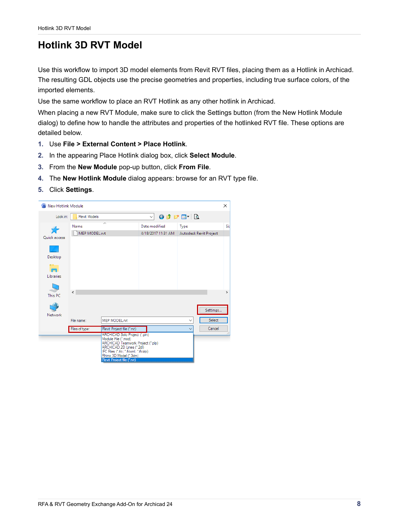### <span id="page-7-0"></span>**Hotlink 3D RVT Model**

Use this workflow to import 3D model elements from Revit RVT files, placing them as a Hotlink in Archicad. The resulting GDL objects use the precise geometries and properties, including true surface colors, of the imported elements.

Use the same workflow to place an RVT Hotlink as any other hotlink in Archicad.

When placing a new RVT Module, make sure to click the Settings button (from the New Hotlink Module dialog) to define how to handle the attributes and properties of the hotlinked RVT file. These options are detailed below.

- **1.** Use **File > External Content > Place Hotlink**.
- **2.** In the appearing Place Hotlink dialog box, click **Select Module**.
- **3.** From the **New Module** pop-up button, click **From File**.
- **4.** The **New Hotlink Module** dialog appears: browse for an RVT type file.
- **5.** Click **Settings**.

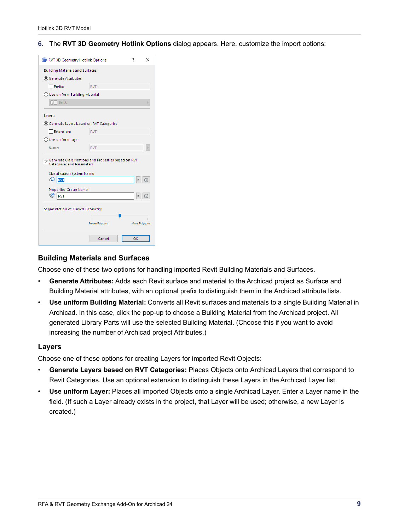**6.** The **RVT 3D Geometry Hotlink Options** dialog appears. Here, customize the import options:



#### **Building Materials and Surfaces**

Choose one of these two options for handling imported Revit Building Materials and Surfaces.

- **Generate Attributes:** Adds each Revit surface and material to the Archicad project as Surface and Building Material attributes, with an optional prefix to distinguish them in the Archicad attribute lists.
- **Use uniform Building Material:** Converts all Revit surfaces and materials to a single Building Material in Archicad. In this case, click the pop-up to choose a Building Material from the Archicad project. All generated Library Parts will use the selected Building Material. (Choose this if you want to avoid increasing the number of Archicad project Attributes.)

#### **Layers**

Choose one of these options for creating Layers for imported Revit Objects:

- **Generate Layers based on RVT Categories:** Places Objects onto Archicad Layers that correspond to Revit Categories. Use an optional extension to distinguish these Layers in the Archicad Layer list.
- **Use uniform Layer:** Places all imported Objects onto a single Archicad Layer. Enter a Layer name in the field. (If such a Layer already exists in the project, that Layer will be used; otherwise, a new Layer is created.)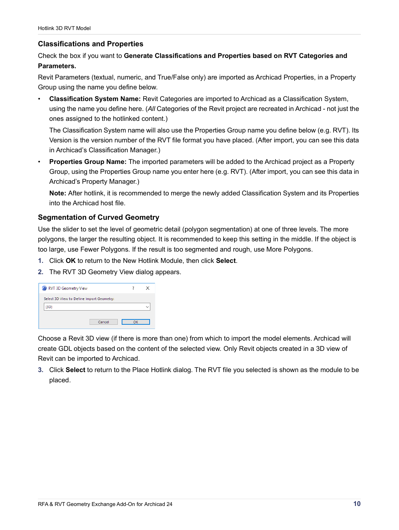#### **Classifications and Properties**

Check the box if you want to **Generate Classifications and Properties based on RVT Categories and Parameters.**

Revit Parameters (textual, numeric, and True/False only) are imported as Archicad Properties, in a Property Group using the name you define below.

• **Classification System Name:** Revit Categories are imported to Archicad as a Classification System, using the name you define here. (*All* Categories of the Revit project are recreated in Archicad - not just the ones assigned to the hotlinked content.)

The Classification System name will also use the Properties Group name you define below (e.g. RVT). Its Version is the version number of the RVT file format you have placed. (After import, you can see this data in Archicad's Classification Manager.)

• **Properties Group Name:** The imported parameters will be added to the Archicad project as a Property Group, using the Properties Group name you enter here (e.g. RVT). (After import, you can see this data in Archicad's Property Manager.)

**Note:** After hotlink, it is recommended to merge the newly added Classification System and its Properties into the Archicad host file.

#### **Segmentation of Curved Geometry**

Use the slider to set the level of geometric detail (polygon segmentation) at one of three levels. The more polygons, the larger the resulting object. It is recommended to keep this setting in the middle. If the object is too large, use Fewer Polygons. If the result is too segmented and rough, use More Polygons.

- **1.** Click **OK** to return to the New Hotlink Module, then click **Select**.
- **2.** The RVT 3D Geometry View dialog appears.

| RVT 3D Geometry View                      |    | ×            |
|-------------------------------------------|----|--------------|
| Select 3D View to Define Import Geometry: |    |              |
| (3D)                                      |    | $\checkmark$ |
| Cancel                                    | OK |              |

Choose a Revit 3D view (if there is more than one) from which to import the model elements. Archicad will create GDL objects based on the content of the selected view. Only Revit objects created in a 3D view of Revit can be imported to Archicad.

**3.** Click **Select** to return to the Place Hotlink dialog. The RVT file you selected is shown as the module to be placed.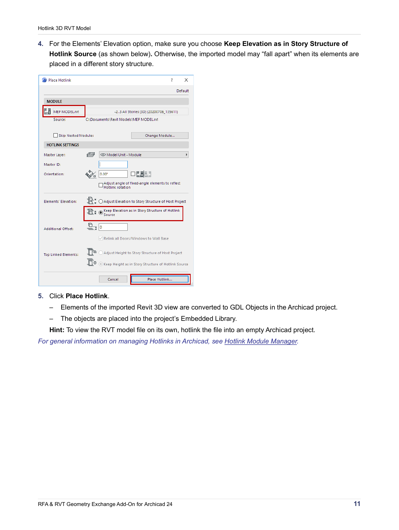**4.** For the Elements' Elevation option, make sure you choose **Keep Elevation as in Story Structure of Hotlink Source** (as shown below)**.** Otherwise, the imported model may "fall apart" when its elements are placed in a different story structure.

| <b>Place Hotlink</b>        |                      | ?<br>×                                                              |
|-----------------------------|----------------------|---------------------------------------------------------------------|
|                             |                      | Default                                                             |
| <b>MODULE</b>               |                      |                                                                     |
| …Ď<br>MEP MODEL.rvt         |                      | -23 All Stories {3D} (20200706_135611)                              |
| Source:                     |                      | C:\Documents\Revit Models\MEP MODEL.rvt                             |
| <b>Skip Nested Modules</b>  |                      | Change Module                                                       |
| <b>HOTLINK SETTINGS</b>     |                      |                                                                     |
| Master Layer:               | $\sqrt{\frac{2}{n}}$ | © Model Unit - Module                                               |
| Master ID:                  |                      |                                                                     |
| Orientation:                |                      | $\square$ $\blacksquare$ $\blacksquare$<br>$0.00^{\circ}$           |
|                             |                      | Adjust angle of fixed-angle elements to reflect<br>Hotlink rotation |
| Elements' Elevation:        |                      | ○ Adjust Elevation to Story Structure of Host Project               |
|                             |                      | E (a) Keep Elevation as in Story Structure of Hotlink<br>Source     |
| <b>Additional Offset:</b>   | $\mathbb{E}_{1}$     | $\circ$                                                             |
|                             |                      | Relink all Doors/Windows to Wall Base                               |
| <b>Top Linked Elements:</b> |                      | Adjust Height to Story Structure of Host Project                    |
|                             |                      | C Keep Height as in Story Structure of Hotlink Source               |
|                             |                      | Place Hotlink<br>Cancel                                             |

#### **5.** Click **Place Hotlink**.

- Elements of the imported Revit 3D view are converted to GDL Objects in the Archicad project.
- The objects are placed into the project's Embedded Library.

**Hint:** To view the RVT model file on its own, hotlink the file into an empty Archicad project.

*For general information on managing Hotlinks in Archicad, see [Hotlink Module Manager](https://helpcenter.graphisoft.com/user-guide-chapter/85614/).*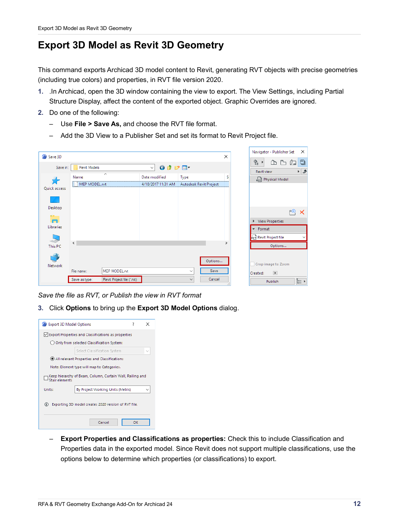### <span id="page-11-0"></span>**Export 3D Model as Revit 3D Geometry**

This command exports Archicad 3D model content to Revit, generating RVT objects with precise geometries (including true colors) and properties, in RVT file version 2020.

- **1.** .In Archicad, open the 3D window containing the view to export. The View Settings, including Partial Structure Display, affect the content of the exported object. Graphic Overrides are ignored.
- **2.** Do one of the following:
	- Use **File > Save As,** and choose the RVT file format.
	- Add the 3D View to a Publisher Set and set its format to Revit Project file.

| Save 3D              |                       |                            |                                     |                                 | ×             | Navigator - Publisher Set<br>×                                      |
|----------------------|-----------------------|----------------------------|-------------------------------------|---------------------------------|---------------|---------------------------------------------------------------------|
| Save in:             | Revit Models          |                            | $0$ $0$ $0$ $m$<br>$\checkmark$     |                                 |               | Ð<br>엳.<br>$\mathbb{F}_{\square}$<br>仾<br>و⊧<br>Revit view          |
| Quick access         | Name<br>MEP MODEL.rvt | $\wedge$                   | Date modified<br>4/18/2017 11:31 AM | Type<br>Autodesk Revit Project  | s             | Ryt Physical Model                                                  |
| Desktop<br>o.<br>G   |                       |                            |                                     |                                 |               | $F^{\bigoplus}$<br>×<br>▶ View Properties                           |
| Libraries<br>This PC | $\,<\,$               |                            |                                     |                                 | $\rightarrow$ | Format<br>$\overline{\phantom{0}}$<br>Revit Project file<br>Options |
| Network              | File name:            | MEP MODEL.rvt              |                                     | Options<br>Save<br>$\checkmark$ |               | Crop image to Zoom<br>$\blacktriangleright$<br>Created:             |
|                      | Save as type:         | Revit Project file (*.rvt) |                                     | Cancel<br>$\checkmark$          |               | $E \equiv \nu$<br>Publish                                           |

*Save the file as RVT, or Publish the view in RVT format*

**3.** Click **Options** to bring up the **Export 3D Model Options** dialog.



– **Export Properties and Classifications as properties:** Check this to include Classification and Properties data in the exported model. Since Revit does not support multiple classifications, use the options below to determine which properties (or classifications) to export.